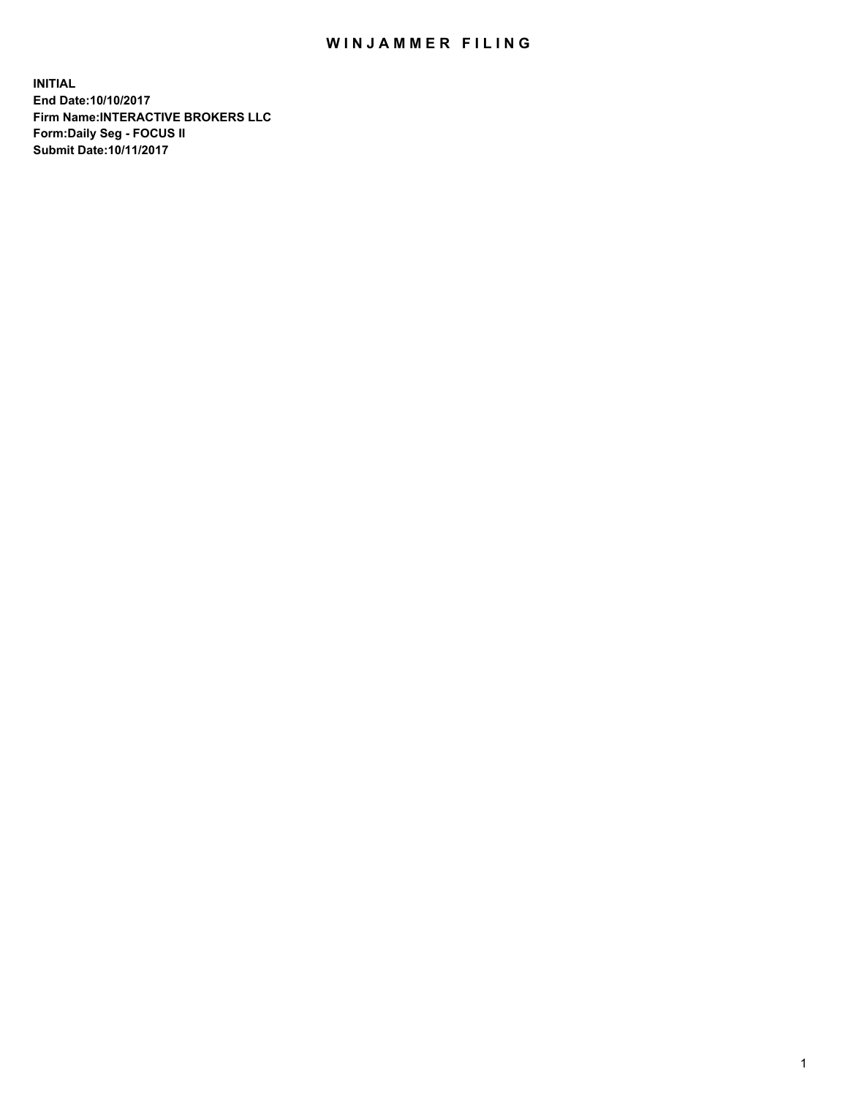## WIN JAMMER FILING

**INITIAL End Date:10/10/2017 Firm Name:INTERACTIVE BROKERS LLC Form:Daily Seg - FOCUS II Submit Date:10/11/2017**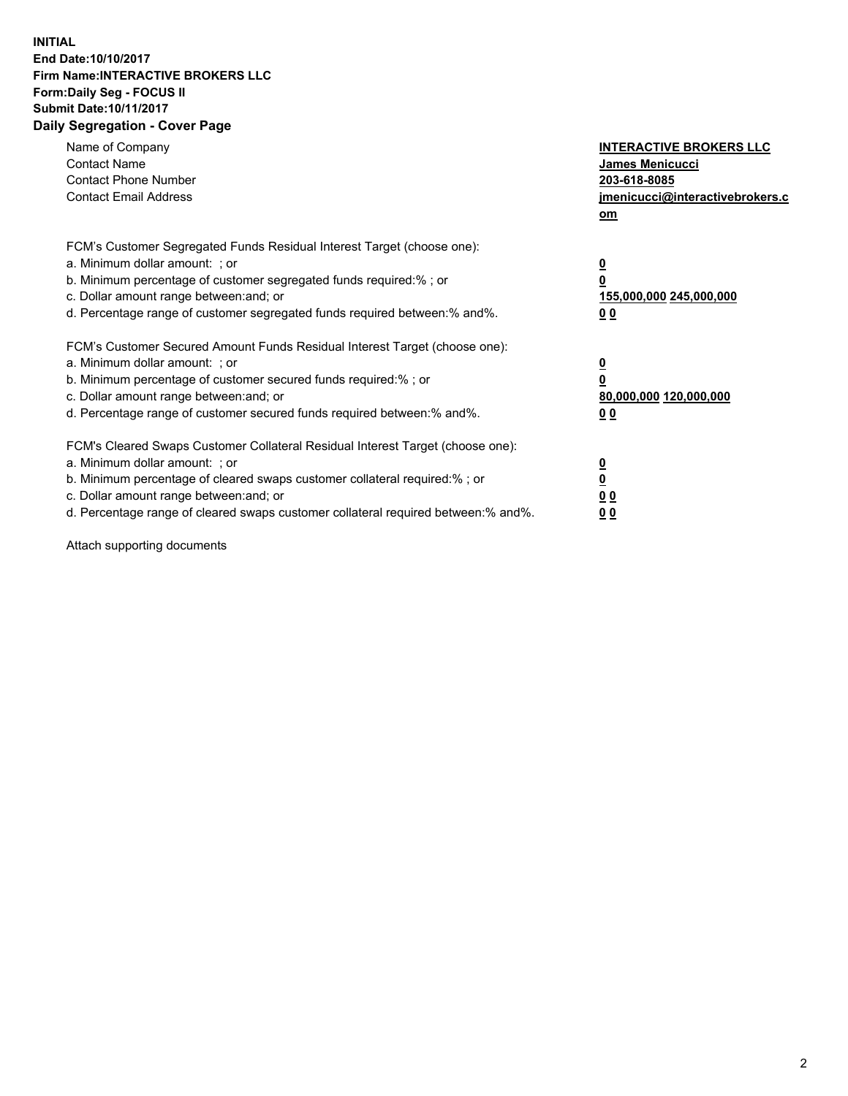## **INITIAL End Date:10/10/2017 Firm Name:INTERACTIVE BROKERS LLC Form:Daily Seg - FOCUS II Submit Date:10/11/2017 Daily Segregation - Cover Page**

| Name of Company<br><b>Contact Name</b><br><b>Contact Phone Number</b><br><b>Contact Email Address</b>                                                                                                                                                                                                                          | <b>INTERACTIVE BROKERS LLC</b><br><b>James Menicucci</b><br>203-618-8085<br>jmenicucci@interactivebrokers.c<br>om |
|--------------------------------------------------------------------------------------------------------------------------------------------------------------------------------------------------------------------------------------------------------------------------------------------------------------------------------|-------------------------------------------------------------------------------------------------------------------|
| FCM's Customer Segregated Funds Residual Interest Target (choose one):<br>a. Minimum dollar amount: ; or<br>b. Minimum percentage of customer segregated funds required:%; or<br>c. Dollar amount range between: and; or<br>d. Percentage range of customer segregated funds required between:% and%.                          | $\overline{\mathbf{0}}$<br>0<br>155,000,000 245,000,000<br>0 <sub>0</sub>                                         |
| FCM's Customer Secured Amount Funds Residual Interest Target (choose one):<br>a. Minimum dollar amount: ; or<br>b. Minimum percentage of customer secured funds required:%; or<br>c. Dollar amount range between: and; or<br>d. Percentage range of customer secured funds required between: % and %.                          | $\overline{\mathbf{0}}$<br>0<br>80,000,000 120,000,000<br>0 <sub>0</sub>                                          |
| FCM's Cleared Swaps Customer Collateral Residual Interest Target (choose one):<br>a. Minimum dollar amount: ; or<br>b. Minimum percentage of cleared swaps customer collateral required:% ; or<br>c. Dollar amount range between: and; or<br>d. Percentage range of cleared swaps customer collateral required between:% and%. | $\overline{\mathbf{0}}$<br>$\overline{\mathbf{0}}$<br>0 <sub>0</sub><br><u>00</u>                                 |

Attach supporting documents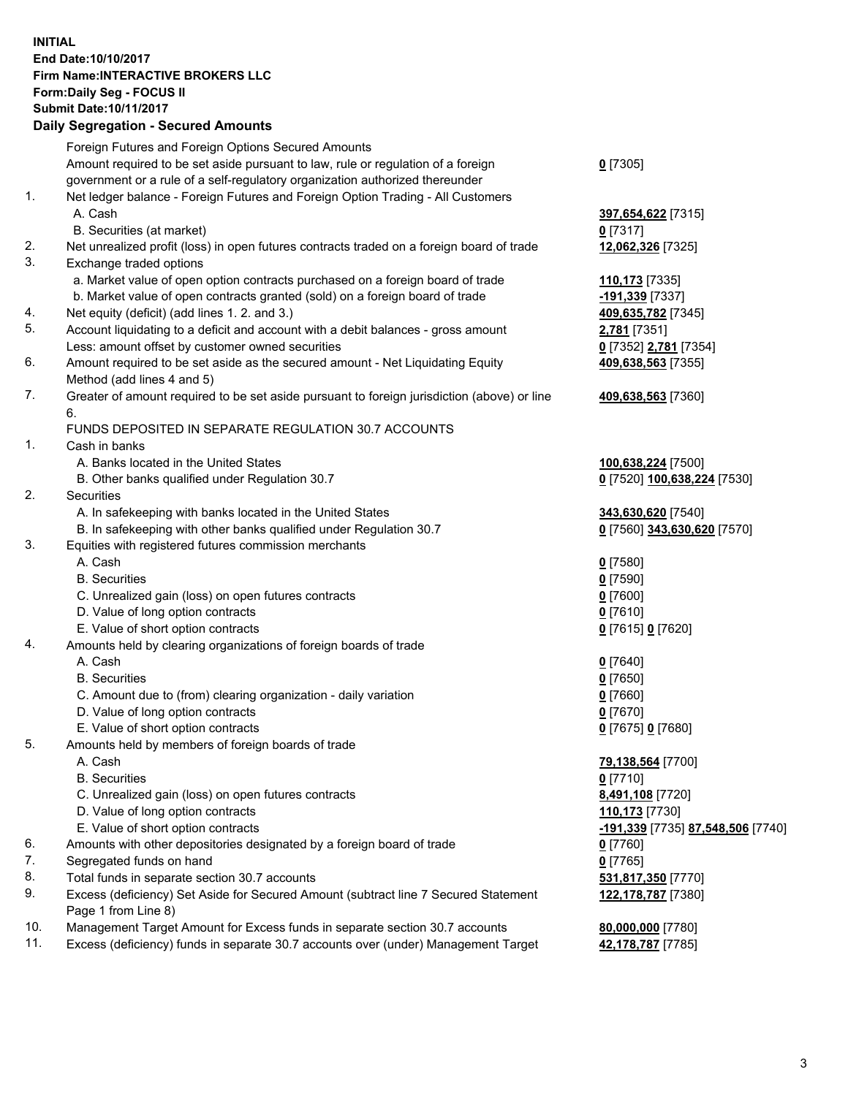## **INITIAL End Date:10/10/2017 Firm Name:INTERACTIVE BROKERS LLC Form:Daily Seg - FOCUS II Submit Date:10/11/2017 Daily Segregation - Secured Amounts**

| Daily Jegregation - Jeculed Aniounts                                                        |                                   |
|---------------------------------------------------------------------------------------------|-----------------------------------|
| Foreign Futures and Foreign Options Secured Amounts                                         |                                   |
| Amount required to be set aside pursuant to law, rule or regulation of a foreign            | $0$ [7305]                        |
| government or a rule of a self-regulatory organization authorized thereunder                |                                   |
| Net ledger balance - Foreign Futures and Foreign Option Trading - All Customers             |                                   |
| A. Cash                                                                                     | 397,654,622 [7315]                |
| B. Securities (at market)                                                                   | $0$ [7317]                        |
| Net unrealized profit (loss) in open futures contracts traded on a foreign board of trade   | 12,062,326 [7325]                 |
| Exchange traded options                                                                     |                                   |
| a. Market value of open option contracts purchased on a foreign board of trade              | 110,173 [7335]                    |
| b. Market value of open contracts granted (sold) on a foreign board of trade                | -191,339 [7337]                   |
| Net equity (deficit) (add lines 1.2. and 3.)                                                | 409,635,782 [7345]                |
| Account liquidating to a deficit and account with a debit balances - gross amount           | 2,781 [7351]                      |
| Less: amount offset by customer owned securities                                            | 0 [7352] 2,781 [7354]             |
| Amount required to be set aside as the secured amount - Net Liquidating Equity              | 409,638,563 [7355]                |
| Method (add lines 4 and 5)                                                                  |                                   |
| Greater of amount required to be set aside pursuant to foreign jurisdiction (above) or line | 409,638,563 [7360]                |
| 6.                                                                                          |                                   |
| FUNDS DEPOSITED IN SEPARATE REGULATION 30.7 ACCOUNTS                                        |                                   |
| Cash in banks                                                                               |                                   |
| A. Banks located in the United States                                                       | 100,638,224 [7500]                |
| B. Other banks qualified under Regulation 30.7                                              | 0 [7520] 100,638,224 [7530]       |
| Securities                                                                                  |                                   |
| A. In safekeeping with banks located in the United States                                   | 343,630,620 [7540]                |
| B. In safekeeping with other banks qualified under Regulation 30.7                          | 0 [7560] 343,630,620 [7570]       |
| Equities with registered futures commission merchants                                       |                                   |
| A. Cash                                                                                     | $0$ [7580]                        |
| <b>B.</b> Securities                                                                        | $0$ [7590]                        |
| C. Unrealized gain (loss) on open futures contracts                                         | $0$ [7600]                        |
| D. Value of long option contracts                                                           | $0$ [7610]                        |
| E. Value of short option contracts                                                          | 0 [7615] 0 [7620]                 |
| Amounts held by clearing organizations of foreign boards of trade                           |                                   |
| A. Cash                                                                                     | $0$ [7640]                        |
| <b>B.</b> Securities                                                                        | $0$ [7650]                        |
| C. Amount due to (from) clearing organization - daily variation                             | $0$ [7660]                        |
| D. Value of long option contracts                                                           | $0$ [7670]                        |
| E. Value of short option contracts                                                          | 0 [7675] 0 [7680]                 |
| Amounts held by members of foreign boards of trade                                          |                                   |
| A. Cash                                                                                     | 79,138,564 [7700]                 |
| <b>B.</b> Securities                                                                        | $0$ [7710]                        |
| C. Unrealized gain (loss) on open futures contracts                                         | 8,491,108 [7720]                  |
| D. Value of long option contracts                                                           | 110,173 [7730]                    |
| E. Value of short option contracts                                                          | -191,339 [7735] 87,548,506 [7740] |
| Amounts with other depositories designated by a foreign board of trade                      | $0$ [7760]                        |
| Segregated funds on hand                                                                    | $0$ [7765]                        |
| Total funds in separate section 30.7 accounts                                               | 531,817,350 [7770]                |
| Excess (deficiency) Set Aside for Secured Amount (subtract line 7 Secured Statement         | 122,178,787 [7380]                |
| Page 1 from Line 8)                                                                         |                                   |
| Management Target Amount for Excess funds in separate section 30.7 accounts                 | 80,000,000 [7780]                 |
| Excess (deficiency) funds in separate 30.7 accounts over (under) Management Target          | 42,178,787 [7785]                 |
|                                                                                             |                                   |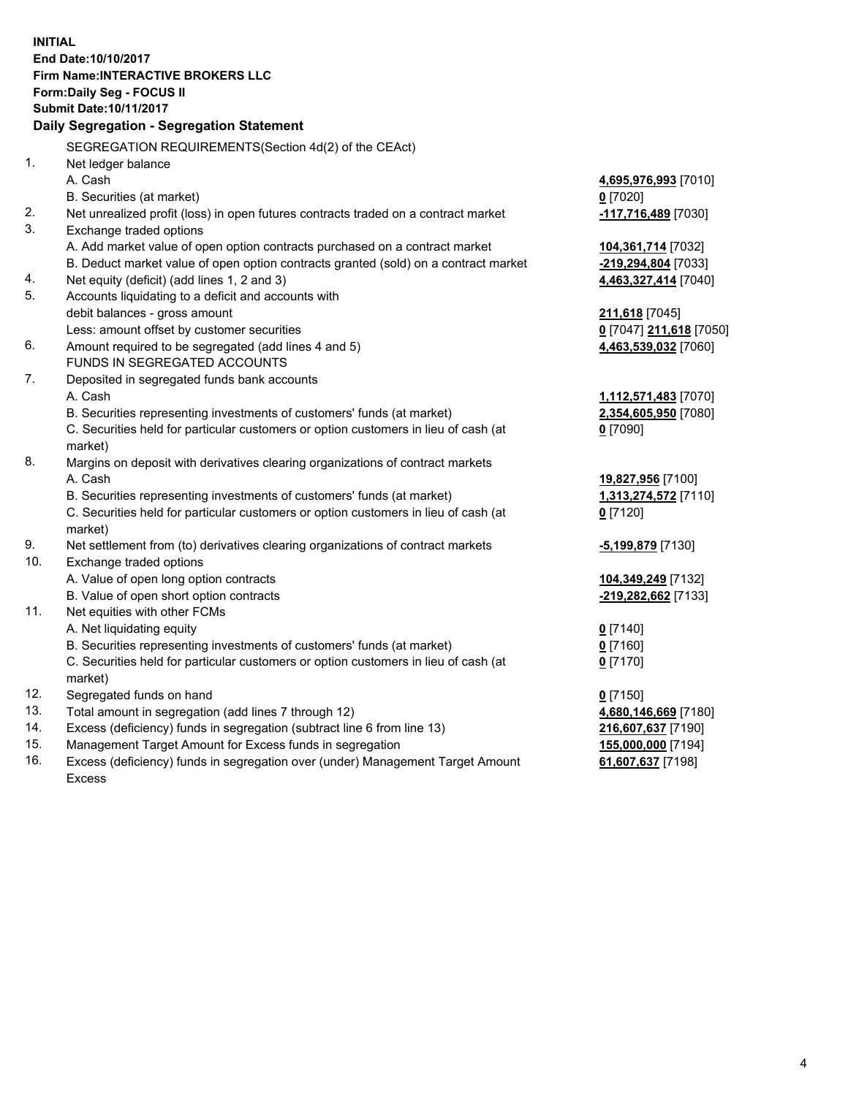**INITIAL End Date:10/10/2017 Firm Name:INTERACTIVE BROKERS LLC Form:Daily Seg - FOCUS II Submit Date:10/11/2017 Daily Segregation - Segregation Statement** SEGREGATION REQUIREMENTS(Section 4d(2) of the CEAct) 1. Net ledger balance A. Cash **4,695,976,993** [7010] B. Securities (at market) **0** [7020] 2. Net unrealized profit (loss) in open futures contracts traded on a contract market **-117,716,489** [7030] 3. Exchange traded options A. Add market value of open option contracts purchased on a contract market **104,361,714** [7032] B. Deduct market value of open option contracts granted (sold) on a contract market **-219,294,804** [7033] 4. Net equity (deficit) (add lines 1, 2 and 3) **4,463,327,414** [7040] 5. Accounts liquidating to a deficit and accounts with debit balances - gross amount **211,618** [7045] Less: amount offset by customer securities **0** [7047] **211,618** [7050] 6. Amount required to be segregated (add lines 4 and 5) **4,463,539,032** [7060] FUNDS IN SEGREGATED ACCOUNTS 7. Deposited in segregated funds bank accounts A. Cash **1,112,571,483** [7070] B. Securities representing investments of customers' funds (at market) **2,354,605,950** [7080] C. Securities held for particular customers or option customers in lieu of cash (at market) **0** [7090] 8. Margins on deposit with derivatives clearing organizations of contract markets A. Cash **19,827,956** [7100] B. Securities representing investments of customers' funds (at market) **1,313,274,572** [7110] C. Securities held for particular customers or option customers in lieu of cash (at market) **0** [7120] 9. Net settlement from (to) derivatives clearing organizations of contract markets **-5,199,879** [7130] 10. Exchange traded options A. Value of open long option contracts **104,349,249** [7132] B. Value of open short option contracts **-219,282,662** [7133] 11. Net equities with other FCMs A. Net liquidating equity **0** [7140] B. Securities representing investments of customers' funds (at market) **0** [7160] C. Securities held for particular customers or option customers in lieu of cash (at market) **0** [7170] 12. Segregated funds on hand **0** [7150] 13. Total amount in segregation (add lines 7 through 12) **4,680,146,669** [7180] 14. Excess (deficiency) funds in segregation (subtract line 6 from line 13) **216,607,637** [7190] 15. Management Target Amount for Excess funds in segregation **155,000,000** [7194] **61,607,637** [7198]

16. Excess (deficiency) funds in segregation over (under) Management Target Amount Excess